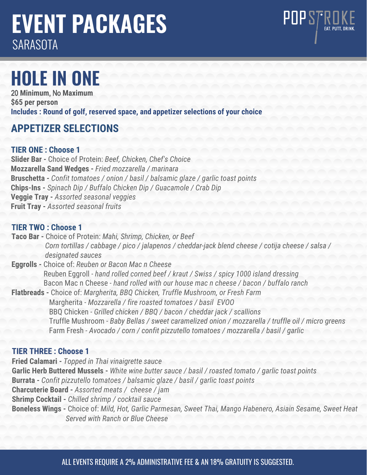# **EVENT PACKAGES SARASOTA**

# **HOLE IN ONE**

20 **Minimum**, No **Maximum \$65 per person Includes : Round of golf, reserved space, and appetizer selections of your choice**

# **APPETIZER SELECTIONS**

# **TIER ONE : Choose 1**

**Slider Bar -** Choice of Protein: *Beef, Chicken, Chef's Choice* **Mozzarella Sand Wedges -** *Fried mozzarella / marinara*  **Bruschetta -** *Confit tomatoes / onion / basil / balsamic glaze / garlic toast points* **Chips-Ins -** *Spinach Dip / Buffalo Chicken Dip / Guacamole / Crab Dip* **Veggie Tray -** *Assorted seasonal veggies* **Fruit Tray -** *Assorted seasonal fruits*

# **TIER TWO : Choose 1**

**Taco Bar -** Choice of Protein: *Mahi, Shrimp, Chicken, or Beef Corn tortillas / cabbage / pico / jalapenos / cheddar-jack blend cheese / cotija cheese / salsa / designated sauces*

POPSTROK

- **Eggrolls** Choice of: *Reuben or Bacon Mac n Cheese* Reuben Eggroll - *hand rolled corned beef / kraut / Swiss / spicy 1000 island dressing* Bacon Mac n Cheese - *hand rolled with our house mac n cheese / bacon / buffalo ranch*
- **Flatbreads** Choice of: *Margherita, BBQ Chicken, Truffle Mushroom, or Fresh Farm* Margherita - *Mozzarella / fire roasted tomatoes / basil EVOO* BBQ Chicken - *Grilled chicken / BBQ / bacon / cheddar jack / scallions* Truffle Mushroom - *Baby Bellas / sweet caramelized onion / mozzarella / truffle oil / micro greens* Farm Fresh - *Avocado / corn / confit pizzutello tomatoes / mozzarella / basil / garlic*

# **TIER THREE : Choose 1**

**Fried Calamari -** *Topped in Thai vinaigrette sauce* **Garlic Herb Buttered Mussels -** *White wine butter sauce / basil / roasted tomato / garlic toast points* **Burrata -** *Confit pizzutello tomatoes / balsamic glaze / basil / garlic toast points* **Charcuterie Board -** *Assorted meats / cheese / jam* **Shrimp Cocktail -** *Chilled shrimp / cocktail sauce* **Boneless Wings -** Choice of: *Mild, Hot, Garlic Parmesan, Sweet Thai, Mango Habenero, Asiain Sesame, Sweet Heat Served with Ranch or Blue Cheese*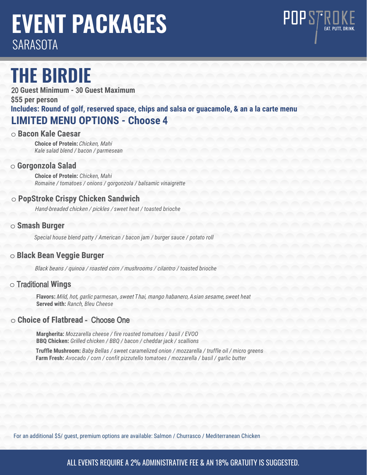# **EVENT PACKAGES SARASOTA**



20 **Guest Minimum -** 3**0 Guest Maximum \$55 per person Includes: Round of golf, reserved space, chips and salsa or guacamole, & an a la carte menu LIMITED MENU OPTIONS - Choose** 4

POPSTROKE

#### o **Bacon Kale Caesar**

**Choice of Protein:** Chicken, Mahi *Kale salad blend / bacon / parmesean* 

#### o **Gorgonzola Salad**

**Choice of Protein:** *Chicken, Mahi Romaine / tomatoes / onions / gorgonzola / balsamic vinaigrette*

### o **PopStroke Crispy Chicken Sandwich**

Hand-breaded chicken / pickles / *sweet heat / toasted brioche*

#### o **Smash Burger**

*Special house blend patty / American / bacon jam / burger sauce / potato roll*

### o **Black Bean Veggie Burger**

Black beans / quinoa / roasted corn / mushrooms / cilantro */ toasted brioche*

# o Traditional **Wings**

**Flavors:** Mild, hot, garlic *parmesan*, sweet *T*hai, mango habanero, *A*sian sesame, *sweet heat* **Served with:** *R*anch*, Bleu Cheese*

### o **Choice of Flatbread** - Choose One

**Margherita:** *Mozzarella cheese / fire roasted tomatoes / basil / EVOO* **BBQ Chicken:** *Grilled chicken / BBQ / bacon / cheddar jack / scallions*

**Truffle Mushroom:** *Baby Bellas / sweet caramelized onion / mozzarella / truffle oil / micro greens* **Farm Fresh:** *Avocado / corn / confit pizzutello tomatoes / mozzarella / basil / garlic butter*

For an additional \$5/ guest, premium options are available: Salmon / Churrasco / Mediterranean Chicken

# ALL EVENTS REQUIRE A 2% ADMINISTRATIVE FEE & AN 18% GRATUITY IS SUGGESTED.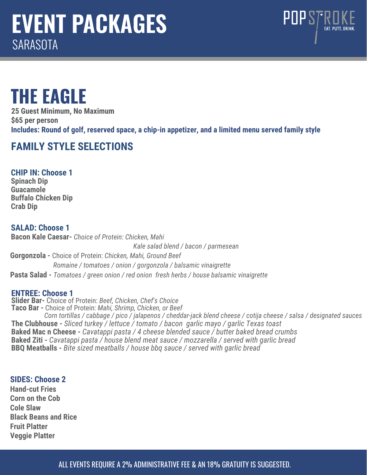

# **THE EAGLE**

**25 Guest Minimum, No Maximum \$65 per person Includes: Round of golf, reserved space, a chip-in appetizer, and a limited menu served family style**

# **FAMILY STYLE SELECTIONS**

**CHIP IN: Choose 1 Spinach Dip Guacamole Buffalo Chicken Dip Crab Dip** 

# **SALAD: Choose 1**

**Bacon Kale Caesar-** *Choice of Protein: Chicken, Mahi Kale salad blend / bacon / parmesean* **Gorgonzola -** Choice of Protein: *Chicken, Mahi, Ground Beef Romaine / tomatoes / onion / gorgonzola / balsamic vinaigrette* **Pasta Salad -** *Tomatoes / green onion / red onion fresh herbs / house balsamic vinaigrette*

# **ENTREE: Choose 1**

**Slider Bar-** Choice of Protein: *Beef, Chicken, Chef's Choice* **Taco Bar -** Choice of Protein: *Mahi, Shrimp, Chicken, or Beef Corn tortillas / cabbage / pico / jalapenos / cheddar-jack blend cheese / cotija cheese / salsa / designated sauces* **The Clubhouse -** *Sliced turkey / lettuce / tomato / bacon garlic mayo / garlic Texas toast*  **Baked Mac n Cheese -** *Cavatappi pasta / 4 cheese blended sauce / butter baked bread crumbs* **Baked Ziti -** *Cavatappi pasta / house blend meat sauce / mozzarella / served with garlic bread* **BBQ Meatballs -** *Bite sized meatballs / house bbq sauce / served with garlic bread* 

### **SIDES: Choose 2**

**Hand-cut Fries Corn on the Cob Cole Slaw Black Beans and Rice Fruit Platter Veggie Platter**